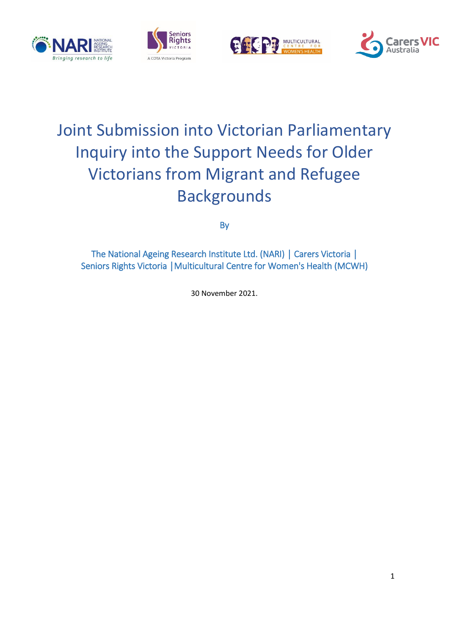







# Joint Submission into Victorian Parliamentary Inquiry into the Support Needs for Older Victorians from Migrant and Refugee Backgrounds

By

The National Ageing Research Institute Ltd. (NARI) | Carers Victoria | Seniors Rights Victoria │Multicultural Centre for Women's Health (MCWH)

30 November 2021.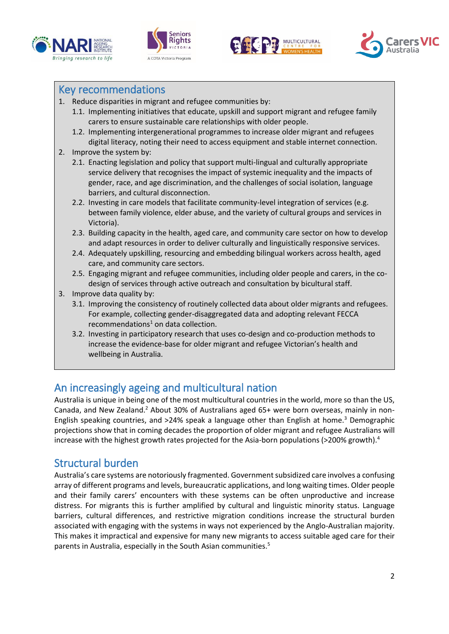







## Key recommendations

- 1. Reduce disparities in migrant and refugee communities by:
	- 1.1. Implementing initiatives that educate, upskill and support migrant and refugee family carers to ensure sustainable care relationships with older people.
	- 1.2. Implementing intergenerational programmes to increase older migrant and refugees digital literacy, noting their need to access equipment and stable internet connection.
- 2. Improve the system by:
	- 2.1. Enacting legislation and policy that support multi-lingual and culturally appropriate service delivery that recognises the impact of systemic inequality and the impacts of gender, race, and age discrimination, and the challenges of social isolation, language barriers, and cultural disconnection.
	- 2.2. Investing in care models that facilitate community-level integration of services (e.g. between family violence, elder abuse, and the variety of cultural groups and services in Victoria).
	- 2.3. Building capacity in the health, aged care, and community care sector on how to develop and adapt resources in order to deliver culturally and linguistically responsive services.
	- 2.4. Adequately upskilling, resourcing and embedding bilingual workers across health, aged care, and community care sectors.
	- 2.5. Engaging migrant and refugee communities, including older people and carers, in the codesign of services through active outreach and consultation by bicultural staff.
- 3. Improve data quality by:
	- 3.1. Improving the consistency of routinely collected data about older migrants and refugees. For example, collecting gender-disaggregated data and adopting relevant FECCA  $recommendations<sup>1</sup>$  on data collection.
	- 3.2. Investing in participatory research that uses co-design and co-production methods to increase the evidence-base for older migrant and refugee Victorian's health and wellbeing in Australia.

# An increasingly ageing and multicultural nation

Australia is unique in being one of the most multicultural countries in the world, more so than the US, Canada, and New Zealand.<sup>2</sup> About 30% of Australians aged 65+ were born overseas, mainly in non-English speaking countries, and  $>24\%$  speak a language other than English at home.<sup>3</sup> Demographic projections show that in coming decades the proportion of older migrant and refugee Australians will increase with the highest growth rates projected for the Asia-born populations (>200% growth).<sup>4</sup>

## Structural burden

Australia's care systems are notoriously fragmented. Government subsidized care involves a confusing array of different programs and levels, bureaucratic applications, and long waiting times. Older people and their family carers' encounters with these systems can be often unproductive and increase distress. For migrants this is further amplified by cultural and linguistic minority status. Language barriers, cultural differences, and restrictive migration conditions increase the structural burden associated with engaging with the systems in ways not experienced by the Anglo-Australian majority. This makes it impractical and expensive for many new migrants to access suitable aged care for their parents in Australia, especially in the South Asian communities. 5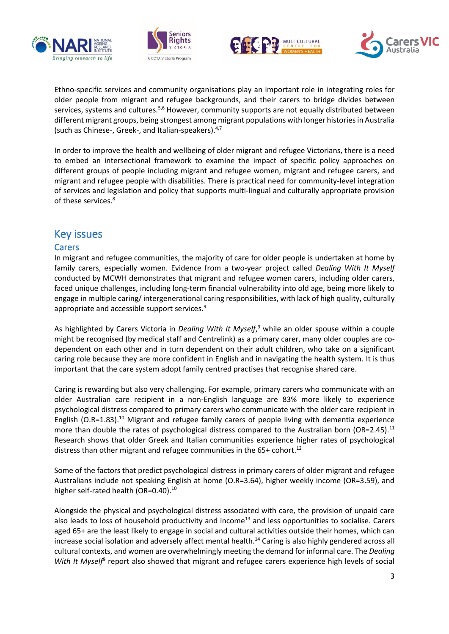







Ethno-specific services and community organisations play an important role in integrating roles for older people from migrant and refugee backgrounds, and their carers to bridge divides between services, systems and cultures.<sup>5,6</sup> However, community supports are not equally distributed between different migrant groups, being strongest among migrant populations with longer historiesin Australia (such as Chinese-, Greek-, and Italian-speakers). 4,7

In order to improve the health and wellbeing of older migrant and refugee Victorians, there is a need to embed an intersectional framework to examine the impact of specific policy approaches on different groups of people including migrant and refugee women, migrant and refugee carers, and migrant and refugee people with disabilities. There is practical need for community-level integration of services and legislation and policy that supports multi-lingual and culturally appropriate provision of these services. 8

## Key issues

#### Carers

In migrant and refugee communities, the majority of care for older people is undertaken at home by family carers, especially women. Evidence from a two-year project called *Dealing With It Myself* conducted by MCWH demonstrates that migrant and refugee women carers, including older carers, faced unique challenges, including long-term financial vulnerability into old age, being more likely to engage in multiple caring/ intergenerational caring responsibilities, with lack of high quality, culturally appropriate and accessible support services.<sup>9</sup>

As highlighted by Carers Victoria in *Dealing With It Myself*, <sup>9</sup> while an older spouse within a couple might be recognised (by medical staff and Centrelink) as a primary carer, many older couples are codependent on each other and in turn dependent on their adult children, who take on a significant caring role because they are more confident in English and in navigating the health system. It is thus important that the care system adopt family centred practises that recognise shared care.

Caring is rewarding but also very challenging. For example, primary carers who communicate with an older Australian care recipient in a non-English language are 83% more likely to experience psychological distress compared to primary carers who communicate with the older care recipient in English (O.R=1.83). <sup>10</sup> Migrant and refugee family carers of people living with dementia experience more than double the rates of psychological distress compared to the Australian born (OR=2.45).<sup>11</sup> Research shows that older Greek and Italian communities experience higher rates of psychological distress than other migrant and refugee communities in the 65+ cohort.<sup>12</sup>

Some of the factors that predict psychological distress in primary carers of older migrant and refugee Australians include not speaking English at home (O.R=3.64), higher weekly income (OR=3.59), and higher self-rated health (OR=0.40).<sup>10</sup>

Alongside the physical and psychological distress associated with care, the provision of unpaid care also leads to loss of household productivity and income<sup>13</sup> and less opportunities to socialise. Carers aged 65+ are the least likely to engage in social and cultural activities outside their homes, which can increase social isolation and adversely affect mental health.<sup>14</sup> Caring is also highly gendered across all cultural contexts, and women are overwhelmingly meeting the demand for informal care. The *Dealing*  With It Myself<sup>9</sup> report also showed that migrant and refugee carers experience high levels of social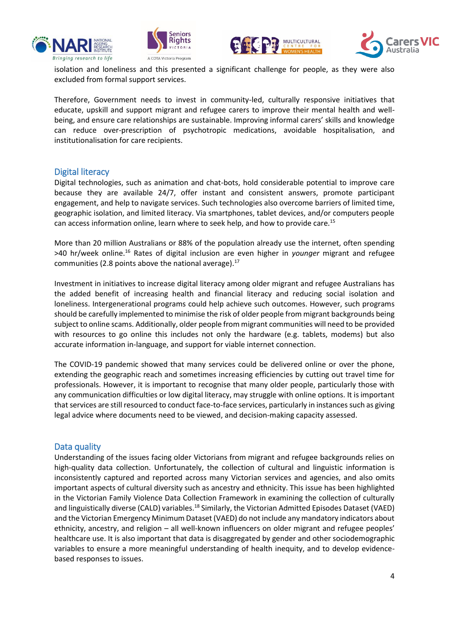







isolation and loneliness and this presented a significant challenge for people, as they were also excluded from formal support services.

Therefore, Government needs to invest in community-led, culturally responsive initiatives that educate, upskill and support migrant and refugee carers to improve their mental health and wellbeing, and ensure care relationships are sustainable. Improving informal carers' skills and knowledge can reduce over-prescription of psychotropic medications, avoidable hospitalisation, and institutionalisation for care recipients.

#### Digital literacy

Digital technologies, such as animation and chat-bots, hold considerable potential to improve care because they are available 24/7, offer instant and consistent answers, promote participant engagement, and help to navigate services. Such technologies also overcome barriers of limited time, geographic isolation, and limited literacy. Via smartphones, tablet devices, and/or computers people can access information online, learn where to seek help, and how to provide care.<sup>15</sup>

More than 20 million Australians or 88% of the population already use the internet, often spending >40 hr/week online.<sup>16</sup> Rates of digital inclusion are even higher in *younger* migrant and refugee communities (2.8 points above the national average). $^{17}$ 

Investment in initiatives to increase digital literacy among older migrant and refugee Australians has the added benefit of increasing health and financial literacy and reducing social isolation and loneliness. Intergenerational programs could help achieve such outcomes. However, such programs should be carefully implemented to minimise the risk of older people from migrant backgrounds being subject to online scams. Additionally, older people from migrant communities will need to be provided with resources to go online this includes not only the hardware (e.g. tablets, modems) but also accurate information in-language, and support for viable internet connection.

The COVID-19 pandemic showed that many services could be delivered online or over the phone, extending the geographic reach and sometimes increasing efficiencies by cutting out travel time for professionals. However, it is important to recognise that many older people, particularly those with any communication difficulties or low digital literacy, may struggle with online options. It is important that services are still resourced to conduct face-to-face services, particularly in instances such as giving legal advice where documents need to be viewed, and decision-making capacity assessed.

#### Data quality

Understanding of the issues facing older Victorians from migrant and refugee backgrounds relies on high-quality data collection. Unfortunately, the collection of cultural and linguistic information is inconsistently captured and reported across many Victorian services and agencies, and also omits important aspects of cultural diversity such as ancestry and ethnicity. This issue has been highlighted in the Victorian Family Violence Data Collection Framework in examining the collection of culturally and linguistically diverse (CALD) variables.<sup>18</sup> Similarly, the Victorian Admitted Episodes Dataset (VAED) and the Victorian Emergency Minimum Dataset (VAED) do not include any mandatory indicators about ethnicity, ancestry, and religion – all well-known influencers on older migrant and refugee peoples' healthcare use. It is also important that data is disaggregated by gender and other sociodemographic variables to ensure a more meaningful understanding of health inequity, and to develop evidencebased responses to issues.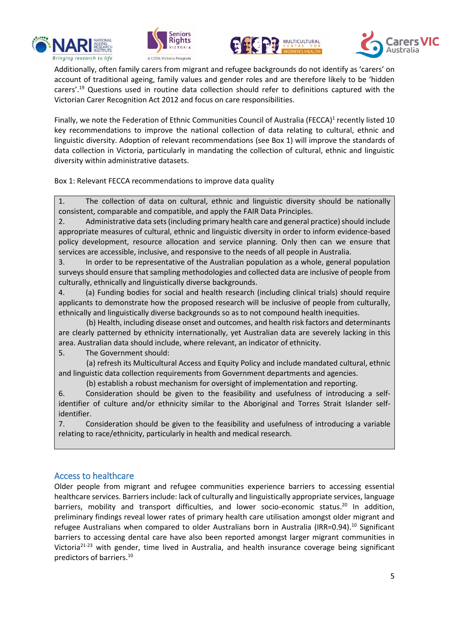







Additionally, often family carers from migrant and refugee backgrounds do not identify as 'carers' on account of traditional ageing, family values and gender roles and are therefore likely to be 'hidden carers'.<sup>19</sup> Questions used in routine data collection should refer to definitions captured with the Victorian Carer Recognition Act 2012 and focus on care responsibilities.

Finally, we note the Federation of Ethnic Communities Council of Australia (FECCA)<sup>1</sup> recently listed 10 key recommendations to improve the national collection of data relating to cultural, ethnic and linguistic diversity. Adoption of relevant recommendations (see Box 1) will improve the standards of data collection in Victoria, particularly in mandating the collection of cultural, ethnic and linguistic diversity within administrative datasets.

Box 1: Relevant FECCA recommendations to improve data quality

1. The collection of data on cultural, ethnic and linguistic diversity should be nationally consistent, comparable and compatible, and apply the FAIR Data Principles.

2. Administrative data sets (including primary health care and general practice) should include appropriate measures of cultural, ethnic and linguistic diversity in order to inform evidence-based policy development, resource allocation and service planning. Only then can we ensure that services are accessible, inclusive, and responsive to the needs of all people in Australia.

3. In order to be representative of the Australian population as a whole, general population surveys should ensure that sampling methodologies and collected data are inclusive of people from culturally, ethnically and linguistically diverse backgrounds.

4. (a) Funding bodies for social and health research (including clinical trials) should require applicants to demonstrate how the proposed research will be inclusive of people from culturally, ethnically and linguistically diverse backgrounds so as to not compound health inequities.

(b) Health, including disease onset and outcomes, and health risk factors and determinants are clearly patterned by ethnicity internationally, yet Australian data are severely lacking in this area. Australian data should include, where relevant, an indicator of ethnicity.

5. The Government should:

(a) refresh its Multicultural Access and Equity Policy and include mandated cultural, ethnic and linguistic data collection requirements from Government departments and agencies.

(b) establish a robust mechanism for oversight of implementation and reporting.

6. Consideration should be given to the feasibility and usefulness of introducing a selfidentifier of culture and/or ethnicity similar to the Aboriginal and Torres Strait Islander selfidentifier.

7. Consideration should be given to the feasibility and usefulness of introducing a variable relating to race/ethnicity, particularly in health and medical research.

#### Access to healthcare

Older people from migrant and refugee communities experience barriers to accessing essential healthcare services. Barriers include: lack of culturally and linguistically appropriate services, language barriers, mobility and transport difficulties, and lower socio-economic status.<sup>20</sup> In addition, preliminary findings reveal lower rates of primary health care utilisation amongst older migrant and refugee Australians when compared to older Australians born in Australia (IRR=0.94).<sup>10</sup> Significant barriers to accessing dental care have also been reported amongst larger migrant communities in Victoria<sup>21-23</sup> with gender, time lived in Australia, and health insurance coverage being significant predictors of barriers. 10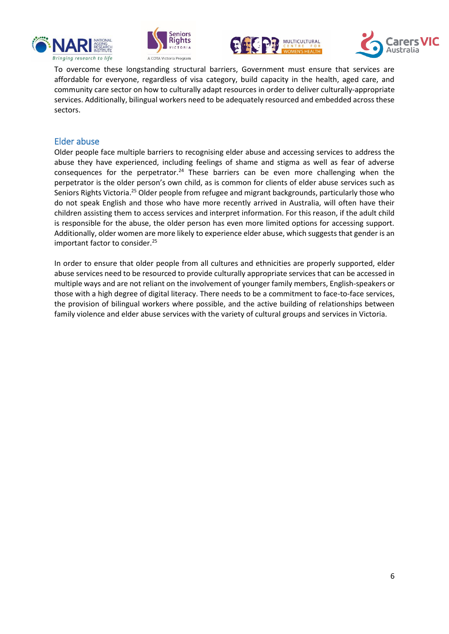







To overcome these longstanding structural barriers, Government must ensure that services are affordable for everyone, regardless of visa category, build capacity in the health, aged care, and community care sector on how to culturally adapt resources in order to deliver culturally-appropriate services. Additionally, bilingual workers need to be adequately resourced and embedded across these sectors.

#### Elder abuse

Older people face multiple barriers to recognising elder abuse and accessing services to address the abuse they have experienced, including feelings of shame and stigma as well as fear of adverse consequences for the perpetrator.<sup>24</sup> These barriers can be even more challenging when the perpetrator is the older person's own child, as is common for clients of elder abuse services such as Seniors Rights Victoria.<sup>25</sup> Older people from refugee and migrant backgrounds, particularly those who do not speak English and those who have more recently arrived in Australia, will often have their children assisting them to access services and interpret information. For this reason, if the adult child is responsible for the abuse, the older person has even more limited options for accessing support. Additionally, older women are more likely to experience elder abuse, which suggests that gender is an important factor to consider.<sup>25</sup>

In order to ensure that older people from all cultures and ethnicities are properly supported, elder abuse services need to be resourced to provide culturally appropriate services that can be accessed in multiple ways and are not reliant on the involvement of younger family members, English-speakers or those with a high degree of digital literacy. There needs to be a commitment to face-to-face services, the provision of bilingual workers where possible, and the active building of relationships between family violence and elder abuse services with the variety of cultural groups and services in Victoria.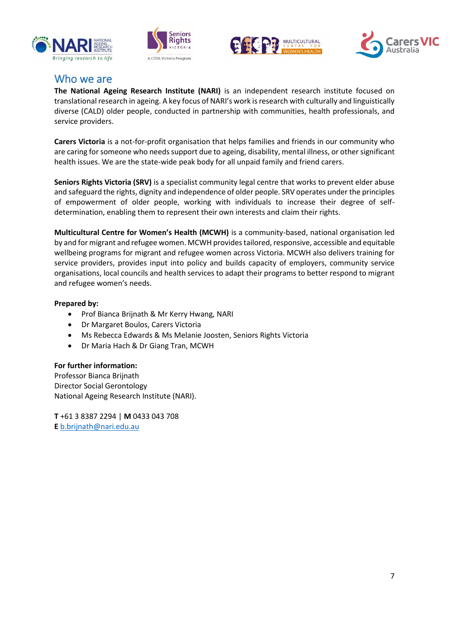







### Who we are

**The National Ageing Research Institute (NARI)** is an independent research institute focused on translational research in ageing. A key focus of NARI's work is research with culturally and linguistically diverse (CALD) older people, conducted in partnership with communities, health professionals, and service providers.

**Carers Victoria** is a not-for-profit organisation that helps families and friends in our community who are caring for someone who needs support due to ageing, disability, mental illness, or other significant health issues. We are the state-wide peak body for all unpaid family and friend carers.

**Seniors Rights Victoria (SRV)** is a specialist community legal centre that works to prevent elder abuse and safeguard the rights, dignity and independence of older people. SRV operates under the principles of empowerment of older people, working with individuals to increase their degree of selfdetermination, enabling them to represent their own interests and claim their rights.

**Multicultural Centre for Women's Health (MCWH)** is a community-based, national organisation led by and for migrant and refugee women. MCWH provides tailored, responsive, accessible and equitable wellbeing programs for migrant and refugee women across Victoria. MCWH also delivers training for service providers, provides input into policy and builds capacity of employers, community service organisations, local councils and health services to adapt their programs to better respond to migrant and refugee women's needs.

#### **Prepared by:**

- Prof Bianca Brijnath & Mr Kerry Hwang, NARI
- Dr Margaret Boulos, Carers Victoria
- Ms Rebecca Edwards & Ms Melanie Joosten, Seniors Rights Victoria
- Dr Maria Hach & Dr Giang Tran, MCWH

#### **For further information:**

Professor Bianca Brijnath Director Social Gerontology National Ageing Research Institute (NARI).

**T** +61 3 8387 2294 | **M** 0433 043 708 **E** [b.brijnath@nari.edu.au](mailto:b.brijnath@nari.unimelb.edu.au)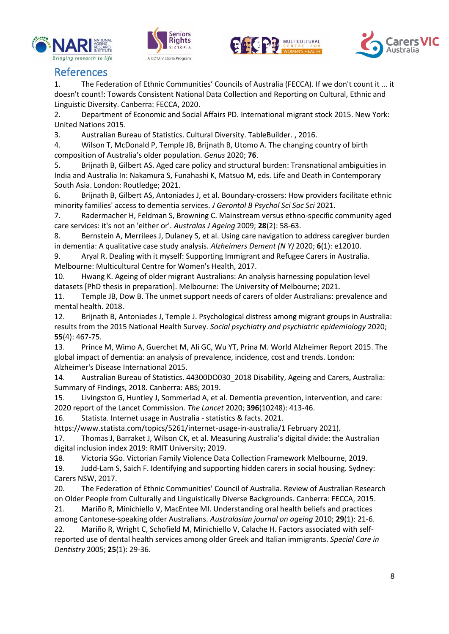







# References

1. The Federation of Ethnic Communities' Councils of Australia (FECCA). If we don't count it ... it doesn't count!: Towards Consistent National Data Collection and Reporting on Cultural, Ethnic and Linguistic Diversity. Canberra: FECCA, 2020.

2. Department of Economic and Social Affairs PD. International migrant stock 2015. New York: United Nations 2015.

3. Australian Bureau of Statistics. Cultural Diversity. TableBuilder. , 2016.

4. Wilson T, McDonald P, Temple JB, Brijnath B, Utomo A. The changing country of birth composition of Australia's older population. *Genus* 2020; **76**.

5. Brijnath B, Gilbert AS. Aged care policy and structural burden: Transnational ambiguities in India and Australia In: Nakamura S, Funahashi K, Matsuo M, eds. Life and Death in Contemporary South Asia. London: Routledge; 2021.

6. Brijnath B, Gilbert AS, Antoniades J, et al. Boundary-crossers: How providers facilitate ethnic minority families' access to dementia services. *J Gerontol B Psychol Sci Soc Sci* 2021.

7. Radermacher H, Feldman S, Browning C. Mainstream versus ethno-specific community aged care services: it's not an 'either or'. *Australas J Ageing* 2009; **28**(2): 58-63.

8. Bernstein A, Merrilees J, Dulaney S, et al. Using care navigation to address caregiver burden in dementia: A qualitative case study analysis. *Alzheimers Dement (N Y)* 2020; **6**(1): e12010.

9. Aryal R. Dealing with it myself: Supporting Immigrant and Refugee Carers in Australia. Melbourne: Multicultural Centre for Women's Health, 2017.

10. Hwang K. Ageing of older migrant Australians: An analysis harnessing population level datasets [PhD thesis in preparation]. Melbourne: The University of Melbourne; 2021.

11. Temple JB, Dow B. The unmet support needs of carers of older Australians: prevalence and mental health. 2018.

12. Brijnath B, Antoniades J, Temple J. Psychological distress among migrant groups in Australia: results from the 2015 National Health Survey. *Social psychiatry and psychiatric epidemiology* 2020; **55**(4): 467-75.

13. Prince M, Wimo A, Guerchet M, Ali GC, Wu YT, Prina M. World Alzheimer Report 2015. The global impact of dementia: an analysis of prevalence, incidence, cost and trends. London: Alzheimer's Disease International 2015.

14. Australian Bureau of Statistics. 44300DO030\_2018 Disability, Ageing and Carers, Australia: Summary of Findings, 2018. Canberra: ABS; 2019.

15. Livingston G, Huntley J, Sommerlad A, et al. Dementia prevention, intervention, and care: 2020 report of the Lancet Commission. *The Lancet* 2020; **396**(10248): 413-46.

16. Statista. Internet usage in Australia - statistics & facts. 2021.

https://www.statista.com/topics/5261/internet-usage-in-australia/1 February 2021).

17. Thomas J, Barraket J, Wilson CK, et al. Measuring Australia's digital divide: the Australian digital inclusion index 2019: RMIT University; 2019.

18. Victoria SGo. Victorian Family Violence Data Collection Framework Melbourne, 2019.

19. Judd-Lam S, Saich F. Identifying and supporting hidden carers in social housing. Sydney: Carers NSW, 2017.

20. The Federation of Ethnic Communities' Council of Australia. Review of Australian Research on Older People from Culturally and Linguistically Diverse Backgrounds. Canberra: FECCA, 2015.

21. Mariño R, Minichiello V, MacEntee MI. Understanding oral health beliefs and practices among Cantonese‐speaking older Australians. *Australasian journal on ageing* 2010; **29**(1): 21-6. 22. Mariño R, Wright C, Schofield M, Minichiello V, Calache H. Factors associated with selfreported use of dental health services among older Greek and Italian immigrants. *Special Care in* 

*Dentistry* 2005; **25**(1): 29-36.